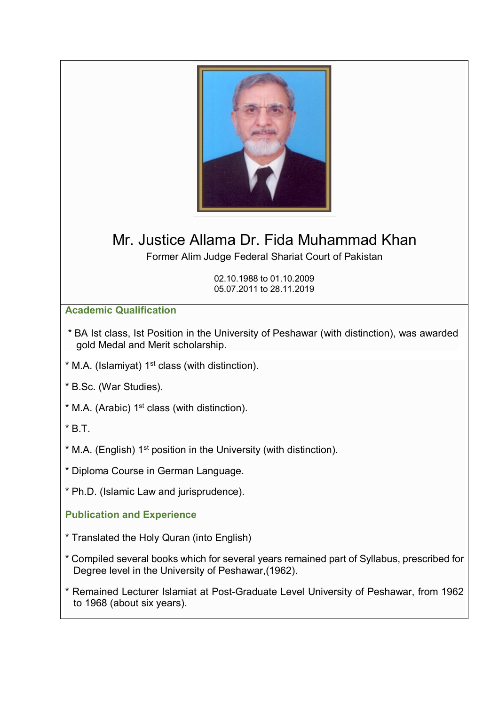

## Mr. Justice Allama Dr. Fida Muhammad Khan

Former Alim Judge Federal Shariat Court of Pakistan

02.10.1988 to 01.10.2009 05.07.2011 to 28.11.2019

## **Academic Qualification**

- \* BA Ist class, Ist Position in the University of Peshawar (with distinction), was awarded gold Medal and Merit scholarship.
- $*$  M.A. (Islamiyat) 1<sup>st</sup> class (with distinction).

\* B.Sc. (War Studies).

- $*$  M.A. (Arabic) 1<sup>st</sup> class (with distinction).
- $*$  B.T.
- \* M.A. (English) 1st position in the University (with distinction).
- \* Diploma Course in German Language.
- \* Ph.D. (Islamic Law and jurisprudence).

## **Publication and Experience**

- \* Translated the Holy Quran (into English)
- \* Compiled several books which for several years remained part of Syllabus, prescribed for Degree level in the University of Peshawar,(1962).
- \* Remained Lecturer Islamiat at Post-Graduate Level University of Peshawar, from 1962 to 1968 (about six years).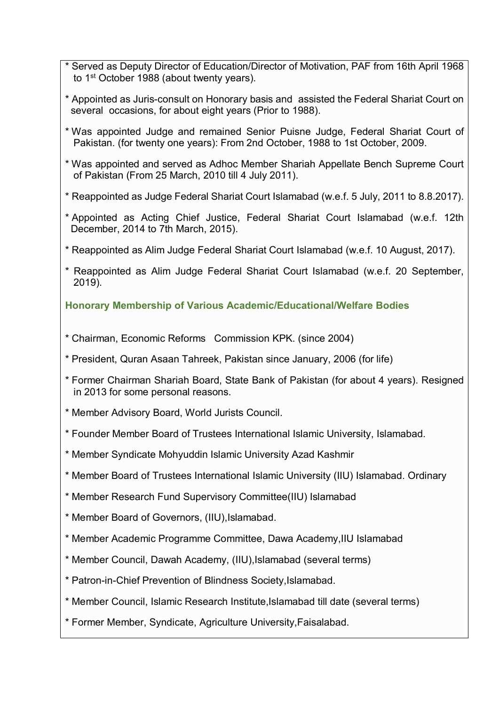- \* Served as Deputy Director of Education/Director of Motivation, PAF from 16th April 1968 to 1<sup>st</sup> October 1988 (about twenty years).
- \* Appointed as Juris-consult on Honorary basis and assisted the Federal Shariat Court on several occasions, for about eight years (Prior to 1988).
- \* Was appointed Judge and remained Senior Puisne Judge, Federal Shariat Court of Pakistan. (for twenty one years): From 2nd October, 1988 to 1st October, 2009.
- \* Was appointed and served as Adhoc Member Shariah Appellate Bench Supreme Court of Pakistan (From 25 March, 2010 till 4 July 2011).
- \* Reappointed as Judge Federal Shariat Court Islamabad (w.e.f. 5 July, 2011 to 8.8.2017).
- \* Appointed as Acting Chief Justice, Federal Shariat Court Islamabad (w.e.f. 12th December, 2014 to 7th March, 2015).
- \* Reappointed as Alim Judge Federal Shariat Court Islamabad (w.e.f. 10 August, 2017).
- \* Reappointed as Alim Judge Federal Shariat Court Islamabad (w.e.f. 20 September, 2019).

**Honorary Membership of Various Academic/Educational/Welfare Bodies**

- \* Chairman, Economic Reforms Commission KPK. (since 2004)
- \* President, Quran Asaan Tahreek, Pakistan since January, 2006 (for life)
- \* Former Chairman Shariah Board, State Bank of Pakistan (for about 4 years). Resigned in 2013 for some personal reasons.
- \* Member Advisory Board, World Jurists Council.
- \* Founder Member Board of Trustees International Islamic University, Islamabad.
- \* Member Syndicate Mohyuddin Islamic University Azad Kashmir
- \* Member Board of Trustees International Islamic University (IIU) Islamabad. Ordinary
- \* Member Research Fund Supervisory Committee(IIU) Islamabad
- \* Member Board of Governors, (IIU),Islamabad.
- \* Member Academic Programme Committee, Dawa Academy,IIU Islamabad
- \* Member Council, Dawah Academy, (IIU),Islamabad (several terms)
- \* Patron-in-Chief Prevention of Blindness Society,Islamabad.
- \* Member Council, Islamic Research Institute,Islamabad till date (several terms)
- \* Former Member, Syndicate, Agriculture University,Faisalabad.